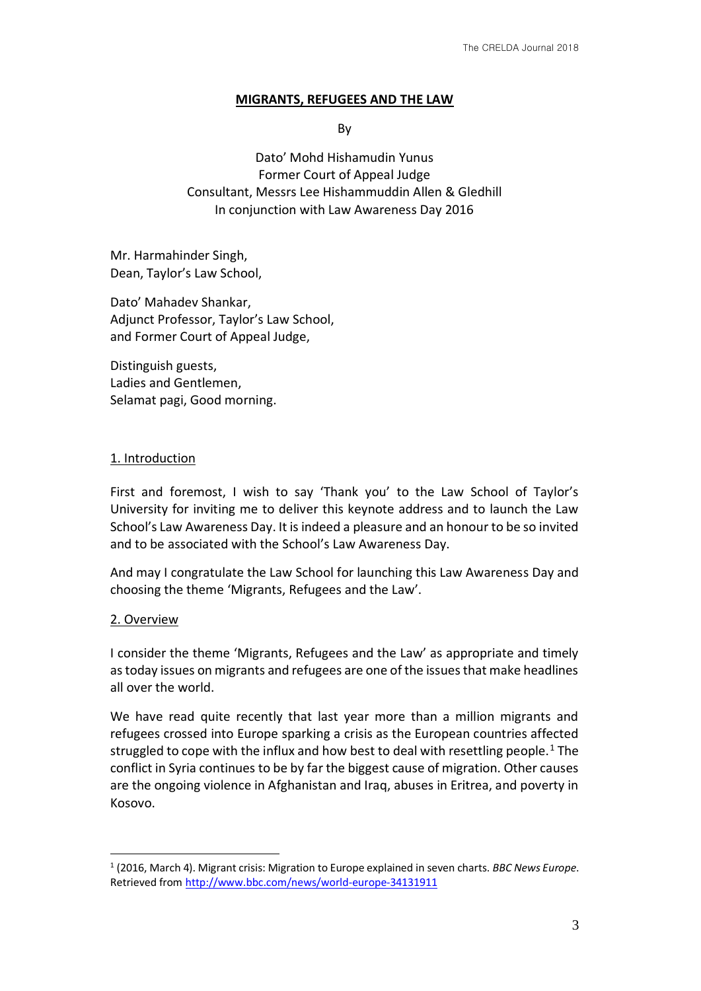#### **MIGRANTS, REFUGEES AND THE LAW**

By

Dato' Mohd Hishamudin Yunus Former Court of Appeal Judge Consultant, Messrs Lee Hishammuddin Allen & Gledhill In conjunction with Law Awareness Day 2016

Mr. Harmahinder Singh, Dean, Taylor's Law School,

Dato' Mahadev Shankar, Adjunct Professor, Taylor's Law School, and Former Court of Appeal Judge,

Distinguish guests, Ladies and Gentlemen, Selamat pagi, Good morning.

### 1. Introduction

First and foremost, I wish to say 'Thank you' to the Law School of Taylor's University for inviting me to deliver this keynote address and to launch the Law School's Law Awareness Day. It is indeed a pleasure and an honour to be so invited and to be associated with the School's Law Awareness Day.

And may I congratulate the Law School for launching this Law Awareness Day and choosing the theme 'Migrants, Refugees and the Law'.

### 2. Overview

<u>.</u>

I consider the theme 'Migrants, Refugees and the Law' as appropriate and timely as today issues on migrants and refugees are one of the issues that make headlines all over the world.

We have read quite recently that last year more than a million migrants and refugees crossed into Europe sparking a crisis as the European countries affected struggled to cope with the influx and how best to deal with resettling people.<sup>1</sup> The conflict in Syria continues to be by far the biggest cause of migration. Other causes are the ongoing violence in Afghanistan and Iraq, abuses in Eritrea, and poverty in Kosovo.

<sup>1</sup> (2016, March 4). Migrant crisis: Migration to Europe explained in seven charts. *BBC News Europe*. Retrieved from http://www.bbc.com/news/world-europe-34131911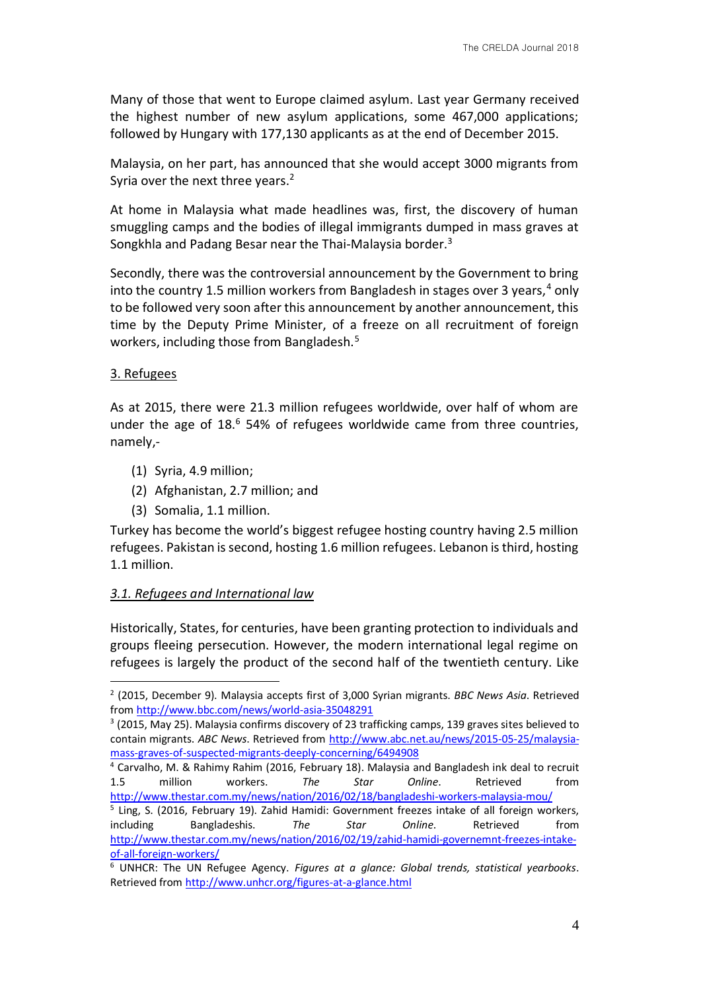Many of those that went to Europe claimed asylum. Last year Germany received the highest number of new asylum applications, some 467,000 applications; followed by Hungary with 177,130 applicants as at the end of December 2015.

Malaysia, on her part, has announced that she would accept 3000 migrants from Syria over the next three years.<sup>2</sup>

At home in Malaysia what made headlines was, first, the discovery of human smuggling camps and the bodies of illegal immigrants dumped in mass graves at Songkhla and Padang Besar near the Thai-Malaysia border.<sup>3</sup>

Secondly, there was the controversial announcement by the Government to bring into the country 1.5 million workers from Bangladesh in stages over 3 years,  $4$  only to be followed very soon after this announcement by another announcement, this time by the Deputy Prime Minister, of a freeze on all recruitment of foreign workers, including those from Bangladesh.<sup>5</sup>

#### 3. Refugees

1

As at 2015, there were 21.3 million refugees worldwide, over half of whom are under the age of  $18<sup>6</sup>$  54% of refugees worldwide came from three countries, namely,-

- (1) Syria, 4.9 million;
- (2) Afghanistan, 2.7 million; and
- (3) Somalia, 1.1 million.

Turkey has become the world's biggest refugee hosting country having 2.5 million refugees. Pakistan is second, hosting 1.6 million refugees. Lebanon is third, hosting 1.1 million.

#### *3.1. Refugees and International law*

Historically, States, for centuries, have been granting protection to individuals and groups fleeing persecution. However, the modern international legal regime on refugees is largely the product of the second half of the twentieth century. Like

<sup>2</sup> (2015, December 9). Malaysia accepts first of 3,000 Syrian migrants. *BBC News Asia*. Retrieved from http://www.bbc.com/news/world-asia-35048291

<sup>&</sup>lt;sup>3</sup> (2015, May 25). Malaysia confirms discovery of 23 trafficking camps, 139 graves sites believed to contain migrants. *ABC News*. Retrieved from http://www.abc.net.au/news/2015-05-25/malaysiamass-graves-of-suspected-migrants-deeply-concerning/6494908

<sup>4</sup> Carvalho, M. & Rahimy Rahim (2016, February 18). Malaysia and Bangladesh ink deal to recruit 1.5 million workers. *The Star Online*. Retrieved from http://www.thestar.com.my/news/nation/2016/02/18/bangladeshi-workers-malaysia-mou/

<sup>&</sup>lt;sup>5</sup> Ling, S. (2016, February 19). Zahid Hamidi: Government freezes intake of all foreign workers, including Bangladeshis. *The Star Online*. Retrieved from http://www.thestar.com.my/news/nation/2016/02/19/zahid-hamidi-governemnt-freezes-intakeof-all-foreign-workers/

<sup>6</sup> UNHCR: The UN Refugee Agency. *Figures at a glance: Global trends, statistical yearbooks*. Retrieved from http://www.unhcr.org/figures-at-a-glance.html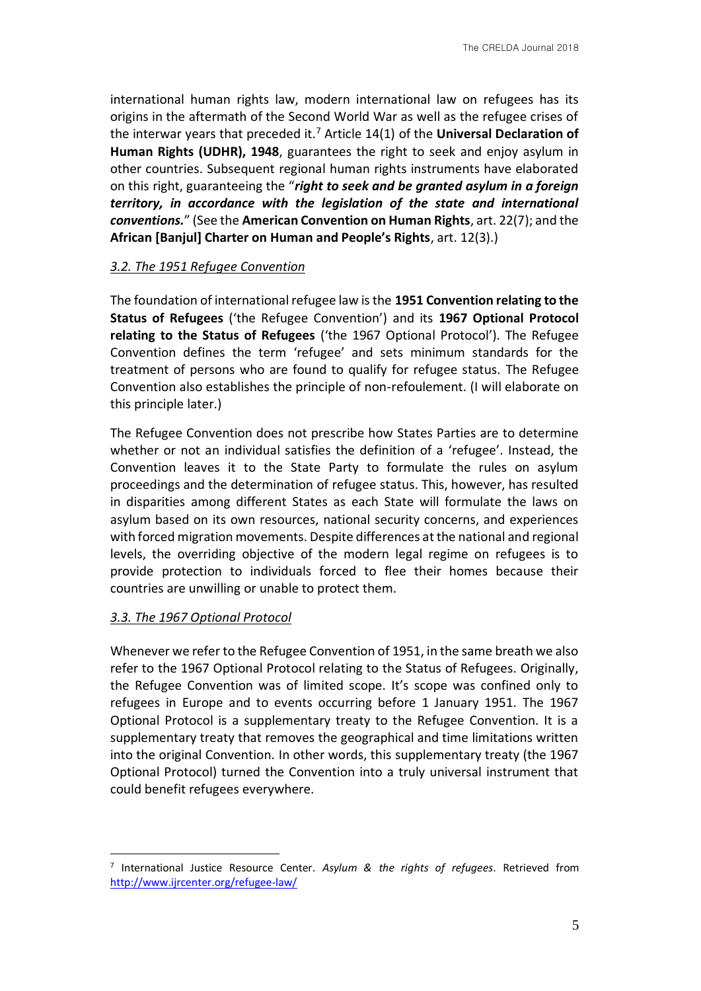international human rights law, modern international law on refugees has its origins in the aftermath of the Second World War as well as the refugee crises of the interwar years that preceded it.<sup>7</sup> Article 14(1) of the **Universal Declaration of Human Rights (UDHR), 1948**, guarantees the right to seek and enjoy asylum in other countries. Subsequent regional human rights instruments have elaborated on this right, guaranteeing the "*right to seek and be granted asylum in a foreign territory, in accordance with the legislation of the state and international conventions.*" (See the **American Convention on Human Rights**, art. 22(7); and the **African [Banjul] Charter on Human and People's Rights**, art. 12(3).)

#### *3.2. The 1951 Refugee Convention*

The foundation of international refugee law is the **1951 Convention relating to the Status of Refugees** ('the Refugee Convention') and its **1967 Optional Protocol relating to the Status of Refugees** ('the 1967 Optional Protocol'). The Refugee Convention defines the term 'refugee' and sets minimum standards for the treatment of persons who are found to qualify for refugee status. The Refugee Convention also establishes the principle of non-refoulement. (I will elaborate on this principle later.)

The Refugee Convention does not prescribe how States Parties are to determine whether or not an individual satisfies the definition of a 'refugee'. Instead, the Convention leaves it to the State Party to formulate the rules on asylum proceedings and the determination of refugee status. This, however, has resulted in disparities among different States as each State will formulate the laws on asylum based on its own resources, national security concerns, and experiences with forced migration movements. Despite differences at the national and regional levels, the overriding objective of the modern legal regime on refugees is to provide protection to individuals forced to flee their homes because their countries are unwilling or unable to protect them.

#### *3.3. The 1967 Optional Protocol*

<u>.</u>

Whenever we refer to the Refugee Convention of 1951, in the same breath we also refer to the 1967 Optional Protocol relating to the Status of Refugees. Originally, the Refugee Convention was of limited scope. It's scope was confined only to refugees in Europe and to events occurring before 1 January 1951. The 1967 Optional Protocol is a supplementary treaty to the Refugee Convention. It is a supplementary treaty that removes the geographical and time limitations written into the original Convention. In other words, this supplementary treaty (the 1967 Optional Protocol) turned the Convention into a truly universal instrument that could benefit refugees everywhere.

<sup>7</sup> International Justice Resource Center. *Asylum & the rights of refugees*. Retrieved from http://www.ijrcenter.org/refugee-law/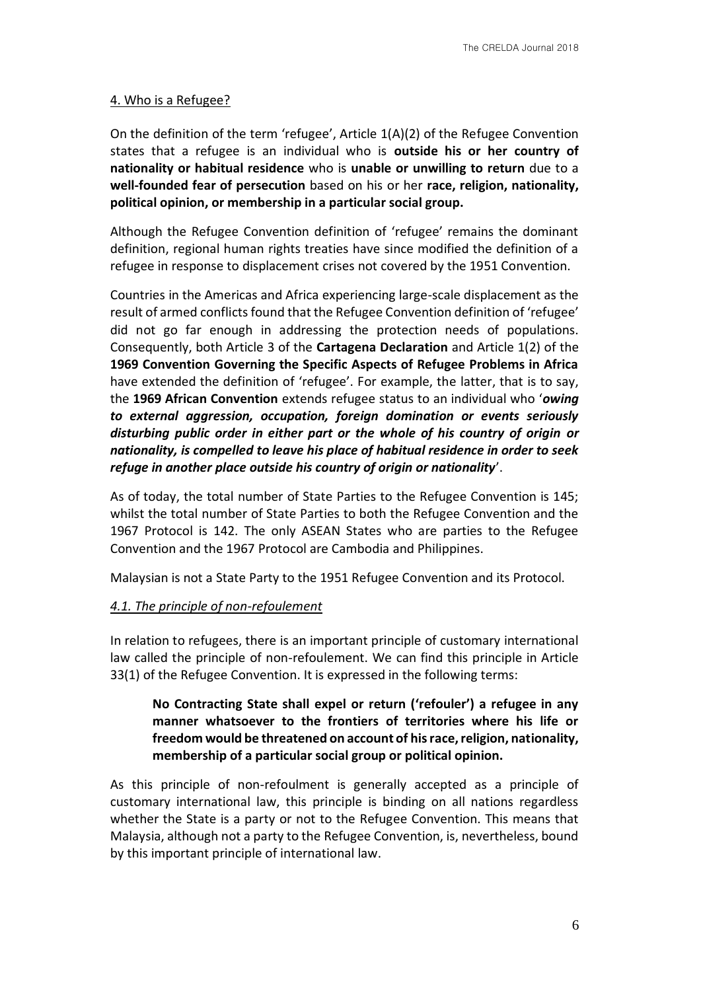# 4. Who is a Refugee?

On the definition of the term 'refugee', Article 1(A)(2) of the Refugee Convention states that a refugee is an individual who is **outside his or her country of nationality or habitual residence** who is **unable or unwilling to return** due to a **well-founded fear of persecution** based on his or her **race, religion, nationality, political opinion, or membership in a particular social group.** 

Although the Refugee Convention definition of 'refugee' remains the dominant definition, regional human rights treaties have since modified the definition of a refugee in response to displacement crises not covered by the 1951 Convention.

Countries in the Americas and Africa experiencing large-scale displacement as the result of armed conflicts found that the Refugee Convention definition of 'refugee' did not go far enough in addressing the protection needs of populations. Consequently, both Article 3 of the **Cartagena Declaration** and Article 1(2) of the **1969 Convention Governing the Specific Aspects of Refugee Problems in Africa** have extended the definition of 'refugee'. For example, the latter, that is to say, the **1969 African Convention** extends refugee status to an individual who '*owing to external aggression, occupation, foreign domination or events seriously disturbing public order in either part or the whole of his country of origin or nationality, is compelled to leave his place of habitual residence in order to seek refuge in another place outside his country of origin or nationality*'.

As of today, the total number of State Parties to the Refugee Convention is 145; whilst the total number of State Parties to both the Refugee Convention and the 1967 Protocol is 142. The only ASEAN States who are parties to the Refugee Convention and the 1967 Protocol are Cambodia and Philippines.

Malaysian is not a State Party to the 1951 Refugee Convention and its Protocol.

# *4.1. The principle of non-refoulement*

In relation to refugees, there is an important principle of customary international law called the principle of non-refoulement. We can find this principle in Article 33(1) of the Refugee Convention. It is expressed in the following terms:

# **No Contracting State shall expel or return ('refouler') a refugee in any manner whatsoever to the frontiers of territories where his life or freedom would be threatened on account of his race, religion, nationality, membership of a particular social group or political opinion.**

As this principle of non-refoulment is generally accepted as a principle of customary international law, this principle is binding on all nations regardless whether the State is a party or not to the Refugee Convention. This means that Malaysia, although not a party to the Refugee Convention, is, nevertheless, bound by this important principle of international law.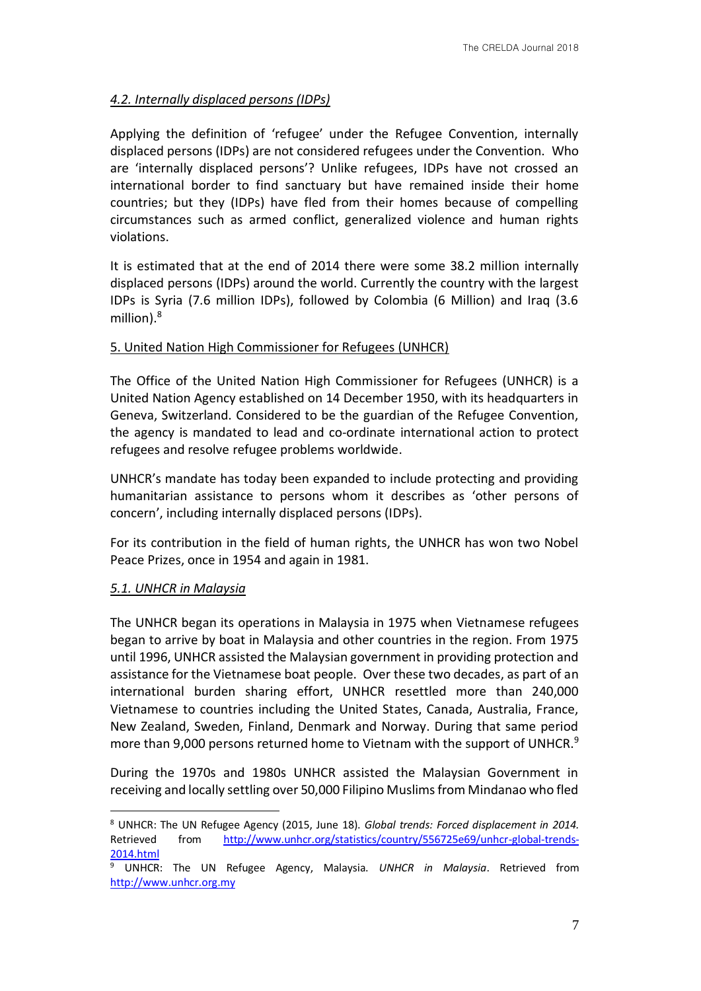# *4.2. Internally displaced persons (IDPs)*

Applying the definition of 'refugee' under the Refugee Convention, internally displaced persons (IDPs) are not considered refugees under the Convention. Who are 'internally displaced persons'? Unlike refugees, IDPs have not crossed an international border to find sanctuary but have remained inside their home countries; but they (IDPs) have fled from their homes because of compelling circumstances such as armed conflict, generalized violence and human rights violations.

It is estimated that at the end of 2014 there were some 38.2 million internally displaced persons (IDPs) around the world. Currently the country with the largest IDPs is Syria (7.6 million IDPs), followed by Colombia (6 Million) and Iraq (3.6 million).<sup>8</sup>

# 5. United Nation High Commissioner for Refugees (UNHCR)

The Office of the United Nation High Commissioner for Refugees (UNHCR) is a United Nation Agency established on 14 December 1950, with its headquarters in Geneva, Switzerland. Considered to be the guardian of the Refugee Convention, the agency is mandated to lead and co-ordinate international action to protect refugees and resolve refugee problems worldwide.

UNHCR's mandate has today been expanded to include protecting and providing humanitarian assistance to persons whom it describes as 'other persons of concern', including internally displaced persons (IDPs).

For its contribution in the field of human rights, the UNHCR has won two Nobel Peace Prizes, once in 1954 and again in 1981.

### *5.1. UNHCR in Malaysia*

The UNHCR began its operations in Malaysia in 1975 when Vietnamese refugees began to arrive by boat in Malaysia and other countries in the region. From 1975 until 1996, UNHCR assisted the Malaysian government in providing protection and assistance for the Vietnamese boat people. Over these two decades, as part of an international burden sharing effort, UNHCR resettled more than 240,000 Vietnamese to countries including the United States, Canada, Australia, France, New Zealand, Sweden, Finland, Denmark and Norway. During that same period more than 9,000 persons returned home to Vietnam with the support of UNHCR.<sup>9</sup>

During the 1970s and 1980s UNHCR assisted the Malaysian Government in receiving and locally settling over 50,000 Filipino Muslims from Mindanao who fled

<sup>&</sup>lt;u>.</u> <sup>8</sup> UNHCR: The UN Refugee Agency (2015, June 18). *Global trends: Forced displacement in 2014.*  Retrieved from http://www.unhcr.org/statistics/country/556725e69/unhcr-global-trends-2014.html

<sup>9</sup> UNHCR: The UN Refugee Agency, Malaysia. *UNHCR in Malaysia*. Retrieved from http://www.unhcr.org.my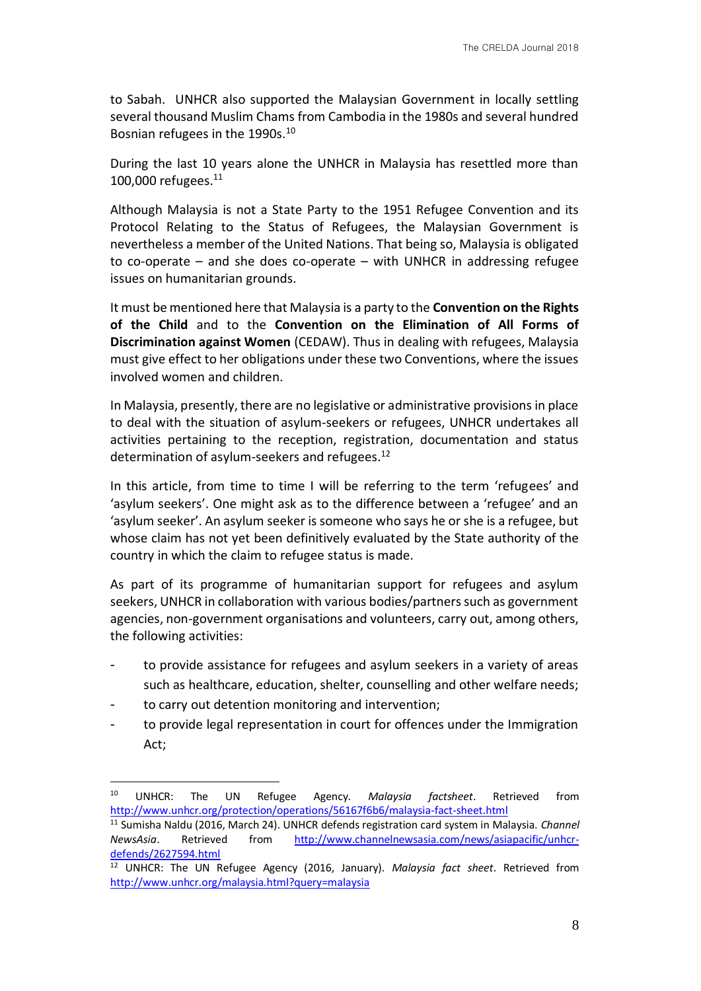to Sabah. UNHCR also supported the Malaysian Government in locally settling several thousand Muslim Chams from Cambodia in the 1980s and several hundred Bosnian refugees in the 1990s.<sup>10</sup>

During the last 10 years alone the UNHCR in Malaysia has resettled more than 100,000 refugees.<sup>11</sup>

Although Malaysia is not a State Party to the 1951 Refugee Convention and its Protocol Relating to the Status of Refugees, the Malaysian Government is nevertheless a member of the United Nations. That being so, Malaysia is obligated to co-operate – and she does co-operate – with UNHCR in addressing refugee issues on humanitarian grounds.

It must be mentioned here that Malaysia is a party to the **Convention on the Rights of the Child** and to the **Convention on the Elimination of All Forms of Discrimination against Women** (CEDAW). Thus in dealing with refugees, Malaysia must give effect to her obligations under these two Conventions, where the issues involved women and children.

In Malaysia, presently, there are no legislative or administrative provisions in place to deal with the situation of asylum-seekers or refugees, UNHCR undertakes all activities pertaining to the reception, registration, documentation and status determination of asylum-seekers and refugees.<sup>12</sup>

In this article, from time to time I will be referring to the term 'refugees' and 'asylum seekers'. One might ask as to the difference between a 'refugee' and an 'asylum seeker'. An asylum seeker is someone who says he or she is a refugee, but whose claim has not yet been definitively evaluated by the State authority of the country in which the claim to refugee status is made.

As part of its programme of humanitarian support for refugees and asylum seekers, UNHCR in collaboration with various bodies/partners such as government agencies, non-government organisations and volunteers, carry out, among others, the following activities:

- to provide assistance for refugees and asylum seekers in a variety of areas such as healthcare, education, shelter, counselling and other welfare needs;
- to carry out detention monitoring and intervention;

1

to provide legal representation in court for offences under the Immigration Act;

<sup>10</sup> UNHCR: The UN Refugee Agency. *Malaysia factsheet*. Retrieved from http://www.unhcr.org/protection/operations/56167f6b6/malaysia-fact-sheet.html

<sup>11</sup> Sumisha Naldu (2016, March 24). UNHCR defends registration card system in Malaysia. *Channel NewsAsia*. Retrieved from http://www.channelnewsasia.com/news/asiapacific/unhcrdefends/2627594.html

<sup>12</sup> UNHCR: The UN Refugee Agency (2016, January). *Malaysia fact sheet*. Retrieved from http://www.unhcr.org/malaysia.html?query=malaysia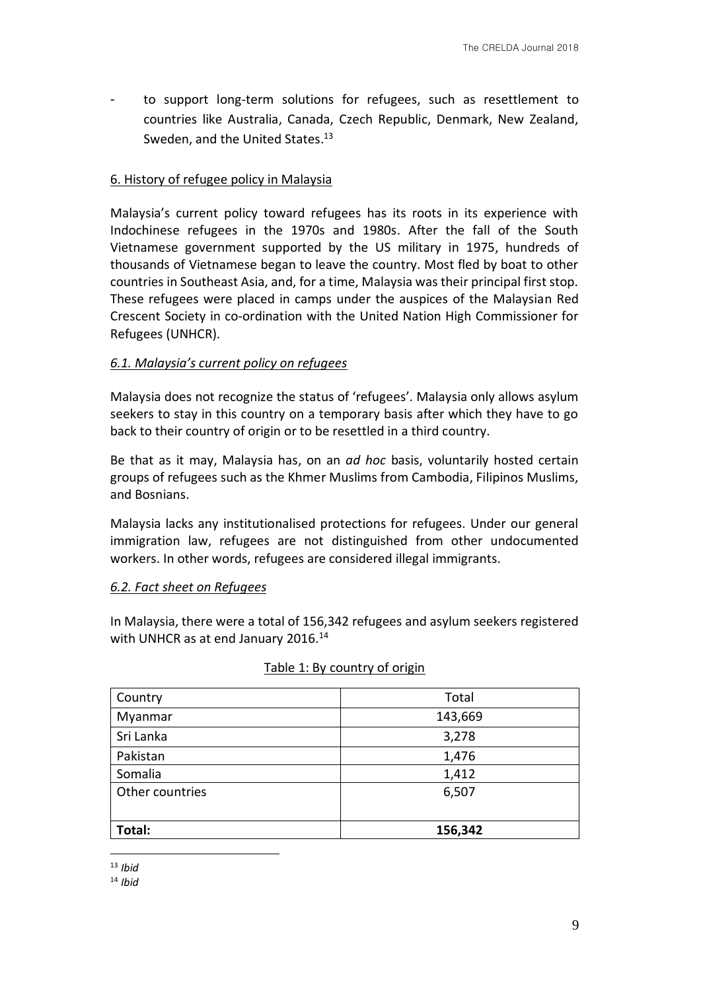to support long-term solutions for refugees, such as resettlement to countries like Australia, Canada, Czech Republic, Denmark, New Zealand, Sweden, and the United States.<sup>13</sup>

## 6. History of refugee policy in Malaysia

Malaysia's current policy toward refugees has its roots in its experience with Indochinese refugees in the 1970s and 1980s. After the fall of the South Vietnamese government supported by the US military in 1975, hundreds of thousands of Vietnamese began to leave the country. Most fled by boat to other countries in Southeast Asia, and, for a time, Malaysia was their principal first stop. These refugees were placed in camps under the auspices of the Malaysian Red Crescent Society in co-ordination with the United Nation High Commissioner for Refugees (UNHCR).

### *6.1. Malaysia's current policy on refugees*

Malaysia does not recognize the status of 'refugees'. Malaysia only allows asylum seekers to stay in this country on a temporary basis after which they have to go back to their country of origin or to be resettled in a third country.

Be that as it may, Malaysia has, on an *ad hoc* basis, voluntarily hosted certain groups of refugees such as the Khmer Muslims from Cambodia, Filipinos Muslims, and Bosnians.

Malaysia lacks any institutionalised protections for refugees. Under our general immigration law, refugees are not distinguished from other undocumented workers. In other words, refugees are considered illegal immigrants.

### *6.2. Fact sheet on Refugees*

In Malaysia, there were a total of 156,342 refugees and asylum seekers registered with UNHCR as at end January 2016.<sup>14</sup>

| Country         | Total   |
|-----------------|---------|
| Myanmar         | 143,669 |
| Sri Lanka       | 3,278   |
| Pakistan        | 1,476   |
| Somalia         | 1,412   |
| Other countries | 6,507   |
| Total:          | 156,342 |

### Table 1: By country of origin

<u>.</u> <sup>13</sup> *Ibid*

<sup>14</sup> *Ibid*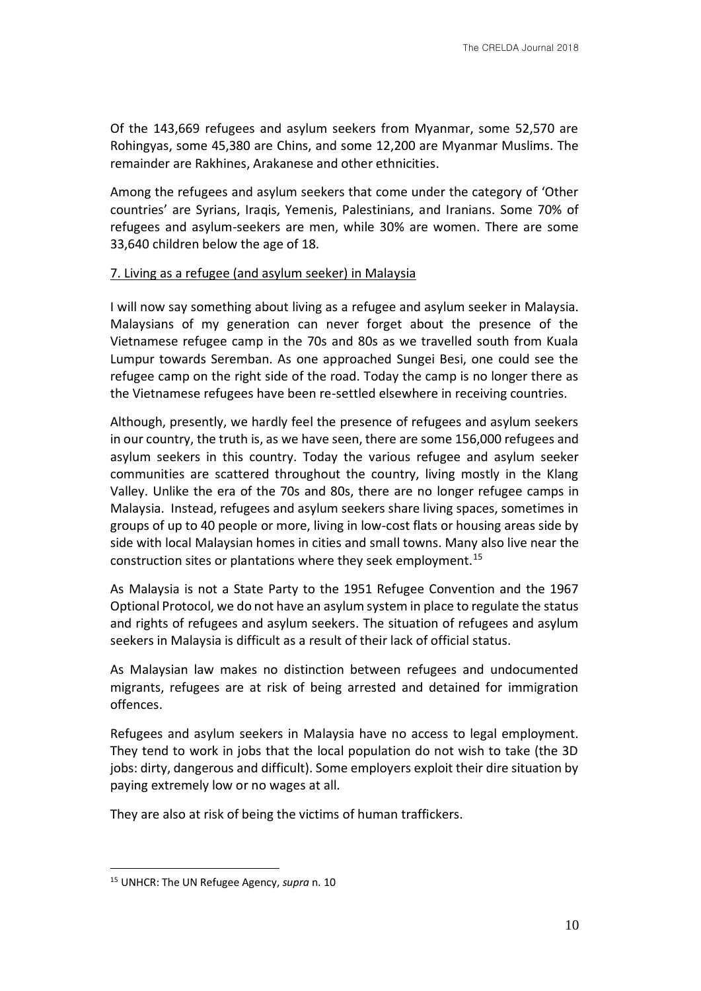Of the 143,669 refugees and asylum seekers from Myanmar, some 52,570 are Rohingyas, some 45,380 are Chins, and some 12,200 are Myanmar Muslims. The remainder are Rakhines, Arakanese and other ethnicities.

Among the refugees and asylum seekers that come under the category of 'Other countries' are Syrians, Iraqis, Yemenis, Palestinians, and Iranians. Some 70% of refugees and asylum-seekers are men, while 30% are women. There are some 33,640 children below the age of 18.

# 7. Living as a refugee (and asylum seeker) in Malaysia

I will now say something about living as a refugee and asylum seeker in Malaysia. Malaysians of my generation can never forget about the presence of the Vietnamese refugee camp in the 70s and 80s as we travelled south from Kuala Lumpur towards Seremban. As one approached Sungei Besi, one could see the refugee camp on the right side of the road. Today the camp is no longer there as the Vietnamese refugees have been re-settled elsewhere in receiving countries.

Although, presently, we hardly feel the presence of refugees and asylum seekers in our country, the truth is, as we have seen, there are some 156,000 refugees and asylum seekers in this country. Today the various refugee and asylum seeker communities are scattered throughout the country, living mostly in the Klang Valley. Unlike the era of the 70s and 80s, there are no longer refugee camps in Malaysia. Instead, refugees and asylum seekers share living spaces, sometimes in groups of up to 40 people or more, living in low-cost flats or housing areas side by side with local Malaysian homes in cities and small towns. Many also live near the construction sites or plantations where they seek employment.<sup>15</sup>

As Malaysia is not a State Party to the 1951 Refugee Convention and the 1967 Optional Protocol, we do not have an asylum system in place to regulate the status and rights of refugees and asylum seekers. The situation of refugees and asylum seekers in Malaysia is difficult as a result of their lack of official status.

As Malaysian law makes no distinction between refugees and undocumented migrants, refugees are at risk of being arrested and detained for immigration offences.

Refugees and asylum seekers in Malaysia have no access to legal employment. They tend to work in jobs that the local population do not wish to take (the 3D jobs: dirty, dangerous and difficult). Some employers exploit their dire situation by paying extremely low or no wages at all.

They are also at risk of being the victims of human traffickers.

<sup>15</sup> UNHCR: The UN Refugee Agency, *supra* n. 10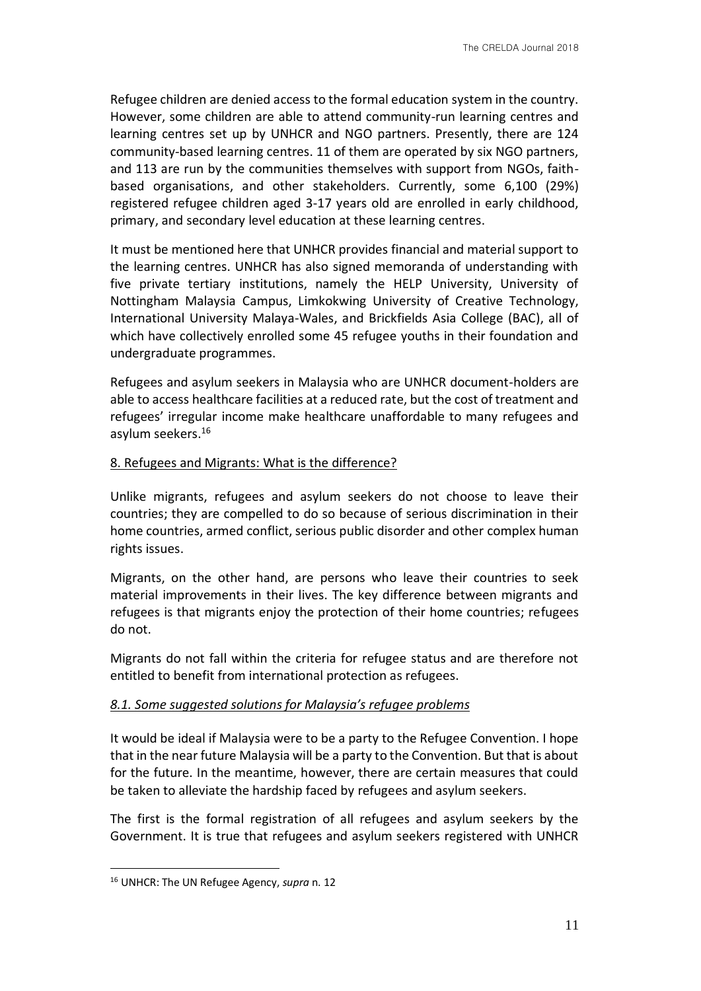Refugee children are denied access to the formal education system in the country. However, some children are able to attend community-run learning centres and learning centres set up by UNHCR and NGO partners. Presently, there are 124 community-based learning centres. 11 of them are operated by six NGO partners, and 113 are run by the communities themselves with support from NGOs, faithbased organisations, and other stakeholders. Currently, some 6,100 (29%) registered refugee children aged 3-17 years old are enrolled in early childhood, primary, and secondary level education at these learning centres.

It must be mentioned here that UNHCR provides financial and material support to the learning centres. UNHCR has also signed memoranda of understanding with five private tertiary institutions, namely the HELP University, University of Nottingham Malaysia Campus, Limkokwing University of Creative Technology, International University Malaya-Wales, and Brickfields Asia College (BAC), all of which have collectively enrolled some 45 refugee youths in their foundation and undergraduate programmes.

Refugees and asylum seekers in Malaysia who are UNHCR document-holders are able to access healthcare facilities at a reduced rate, but the cost of treatment and refugees' irregular income make healthcare unaffordable to many refugees and asylum seekers.<sup>16</sup>

#### 8. Refugees and Migrants: What is the difference?

Unlike migrants, refugees and asylum seekers do not choose to leave their countries; they are compelled to do so because of serious discrimination in their home countries, armed conflict, serious public disorder and other complex human rights issues.

Migrants, on the other hand, are persons who leave their countries to seek material improvements in their lives. The key difference between migrants and refugees is that migrants enjoy the protection of their home countries; refugees do not.

Migrants do not fall within the criteria for refugee status and are therefore not entitled to benefit from international protection as refugees.

### *8.1. Some suggested solutions for Malaysia's refugee problems*

It would be ideal if Malaysia were to be a party to the Refugee Convention. I hope that in the near future Malaysia will be a party to the Convention. But that is about for the future. In the meantime, however, there are certain measures that could be taken to alleviate the hardship faced by refugees and asylum seekers.

The first is the formal registration of all refugees and asylum seekers by the Government. It is true that refugees and asylum seekers registered with UNHCR

<sup>16</sup> UNHCR: The UN Refugee Agency, *supra* n. 12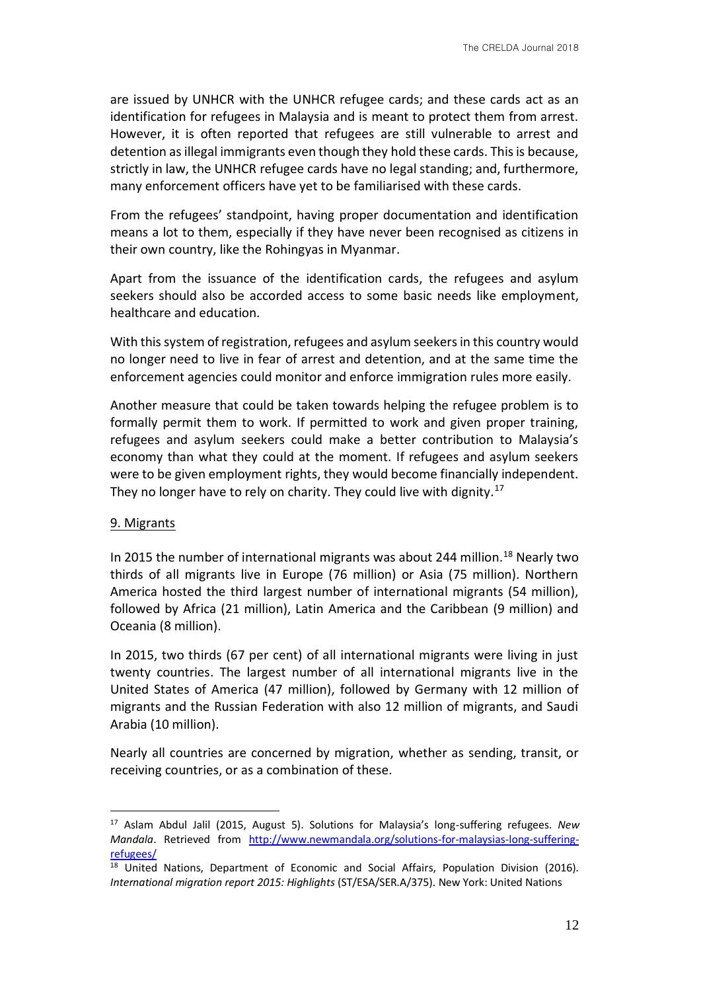are issued by UNHCR with the UNHCR refugee cards; and these cards act as an identification for refugees in Malaysia and is meant to protect them from arrest. However, it is often reported that refugees are still vulnerable to arrest and detention as illegal immigrants even though they hold these cards. This is because, strictly in law, the UNHCR refugee cards have no legal standing; and, furthermore, many enforcement officers have yet to be familiarised with these cards.

From the refugees' standpoint, having proper documentation and identification means a lot to them, especially if they have never been recognised as citizens in their own country, like the Rohingyas in Myanmar.

Apart from the issuance of the identification cards, the refugees and asylum seekers should also be accorded access to some basic needs like employment, healthcare and education.

With this system of registration, refugees and asylum seekers in this country would no longer need to live in fear of arrest and detention, and at the same time the enforcement agencies could monitor and enforce immigration rules more easily.

Another measure that could be taken towards helping the refugee problem is to formally permit them to work. If permitted to work and given proper training, refugees and asylum seekers could make a better contribution to Malaysia's economy than what they could at the moment. If refugees and asylum seekers were to be given employment rights, they would become financially independent. They no longer have to rely on charity. They could live with dignity.<sup>17</sup>

#### 9. Migrants

<u>.</u>

In 2015 the number of international migrants was about 244 million.<sup>18</sup> Nearly two thirds of all migrants live in Europe (76 million) or Asia (75 million). Northern America hosted the third largest number of international migrants (54 million), followed by Africa (21 million), Latin America and the Caribbean (9 million) and Oceania (8 million).

In 2015, two thirds (67 per cent) of all international migrants were living in just twenty countries. The largest number of all international migrants live in the United States of America (47 million), followed by Germany with 12 million of migrants and the Russian Federation with also 12 million of migrants, and Saudi Arabia (10 million).

Nearly all countries are concerned by migration, whether as sending, transit, or receiving countries, or as a combination of these.

<sup>17</sup> Aslam Abdul Jalil (2015, August 5). Solutions for Malaysia's long-suffering refugees. *New Mandala*. Retrieved from http://www.newmandala.org/solutions-for-malaysias-long-sufferingrefugees/

<sup>&</sup>lt;sup>18</sup> United Nations, Department of Economic and Social Affairs, Population Division (2016). *International migration report 2015: Highlights* (ST/ESA/SER.A/375). New York: United Nations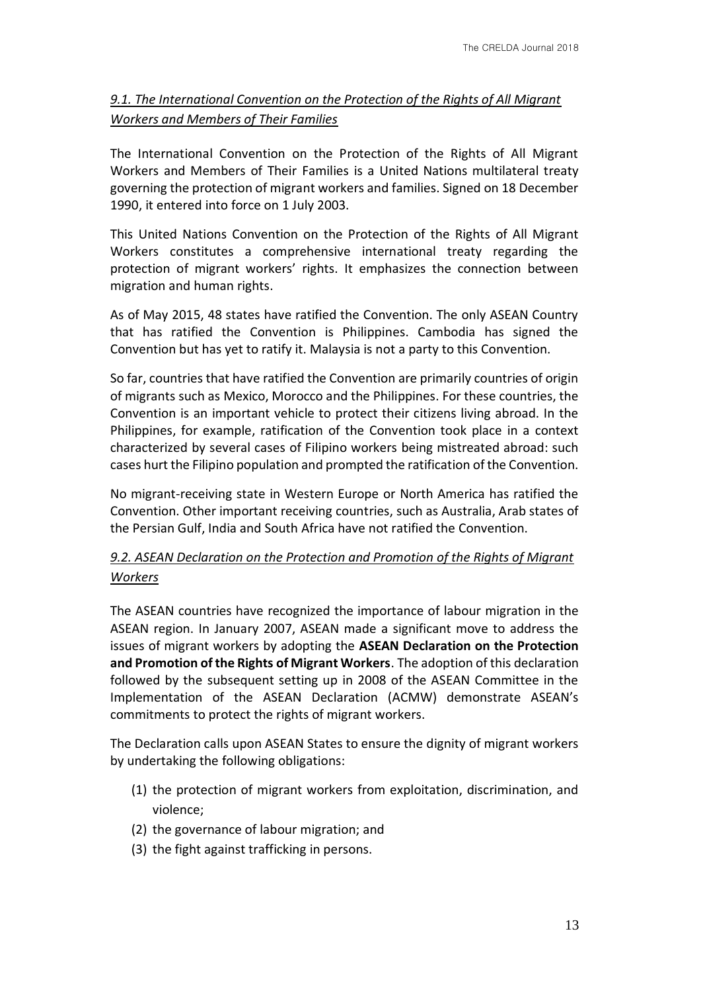# *9.1. The International Convention on the Protection of the Rights of All Migrant Workers and Members of Their Families*

The International Convention on the Protection of the Rights of All Migrant Workers and Members of Their Families is a United Nations multilateral treaty governing the protection of migrant workers and families. Signed on 18 December 1990, it entered into force on 1 July 2003.

This United Nations Convention on the Protection of the Rights of All Migrant Workers constitutes a comprehensive international treaty regarding the protection of migrant workers' rights. It emphasizes the connection between migration and human rights.

As of May 2015, 48 states have ratified the Convention. The only ASEAN Country that has ratified the Convention is Philippines. Cambodia has signed the Convention but has yet to ratify it. Malaysia is not a party to this Convention.

So far, countries that have ratified the Convention are primarily countries of origin of migrants such as Mexico, Morocco and the Philippines. For these countries, the Convention is an important vehicle to protect their citizens living abroad. In the Philippines, for example, ratification of the Convention took place in a context characterized by several cases of Filipino workers being mistreated abroad: such cases hurt the Filipino population and prompted the ratification of the Convention.

No migrant-receiving state in Western Europe or North America has ratified the Convention. Other important receiving countries, such as Australia, Arab states of the Persian Gulf, India and South Africa have not ratified the Convention.

# *9.2. ASEAN Declaration on the Protection and Promotion of the Rights of Migrant Workers*

The ASEAN countries have recognized the importance of labour migration in the ASEAN region. In January 2007, ASEAN made a significant move to address the issues of migrant workers by adopting the **ASEAN Declaration on the Protection and Promotion of the Rights of Migrant Workers**. The adoption of this declaration followed by the subsequent setting up in 2008 of the ASEAN Committee in the Implementation of the ASEAN Declaration (ACMW) demonstrate ASEAN's commitments to protect the rights of migrant workers.

The Declaration calls upon ASEAN States to ensure the dignity of migrant workers by undertaking the following obligations:

- (1) the protection of migrant workers from exploitation, discrimination, and violence;
- (2) the governance of labour migration; and
- (3) the fight against trafficking in persons.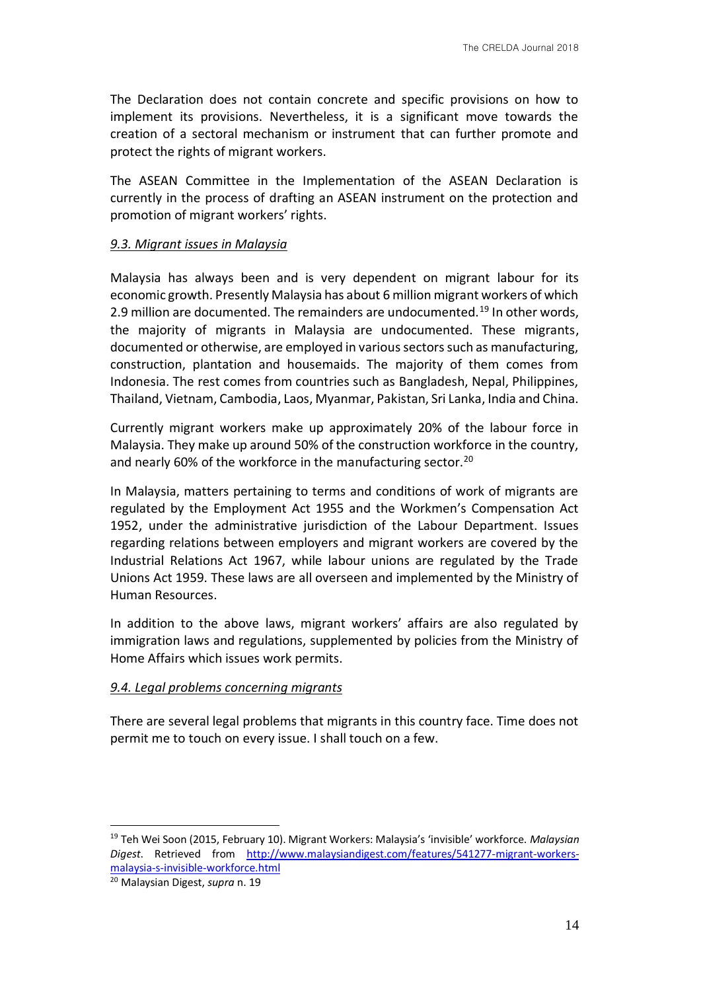The Declaration does not contain concrete and specific provisions on how to implement its provisions. Nevertheless, it is a significant move towards the creation of a sectoral mechanism or instrument that can further promote and protect the rights of migrant workers.

The ASEAN Committee in the Implementation of the ASEAN Declaration is currently in the process of drafting an ASEAN instrument on the protection and promotion of migrant workers' rights.

#### *9.3. Migrant issues in Malaysia*

Malaysia has always been and is very dependent on migrant labour for its economic growth. Presently Malaysia has about 6 million migrant workers of which 2.9 million are documented. The remainders are undocumented.<sup>19</sup> In other words, the majority of migrants in Malaysia are undocumented. These migrants, documented or otherwise, are employed in various sectors such as manufacturing, construction, plantation and housemaids. The majority of them comes from Indonesia. The rest comes from countries such as Bangladesh, Nepal, Philippines, Thailand, Vietnam, Cambodia, Laos, Myanmar, Pakistan, Sri Lanka, India and China.

Currently migrant workers make up approximately 20% of the labour force in Malaysia. They make up around 50% of the construction workforce in the country, and nearly 60% of the workforce in the manufacturing sector.<sup>20</sup>

In Malaysia, matters pertaining to terms and conditions of work of migrants are regulated by the Employment Act 1955 and the Workmen's Compensation Act 1952, under the administrative jurisdiction of the Labour Department. Issues regarding relations between employers and migrant workers are covered by the Industrial Relations Act 1967, while labour unions are regulated by the Trade Unions Act 1959. These laws are all overseen and implemented by the Ministry of Human Resources.

In addition to the above laws, migrant workers' affairs are also regulated by immigration laws and regulations, supplemented by policies from the Ministry of Home Affairs which issues work permits.

### *9.4. Legal problems concerning migrants*

There are several legal problems that migrants in this country face. Time does not permit me to touch on every issue. I shall touch on a few.

1

<sup>19</sup> Teh Wei Soon (2015, February 10). Migrant Workers: Malaysia's 'invisible' workforce. *Malaysian Digest*. Retrieved from http://www.malaysiandigest.com/features/541277-migrant-workersmalaysia-s-invisible-workforce.html

<sup>20</sup> Malaysian Digest, *supra* n. 19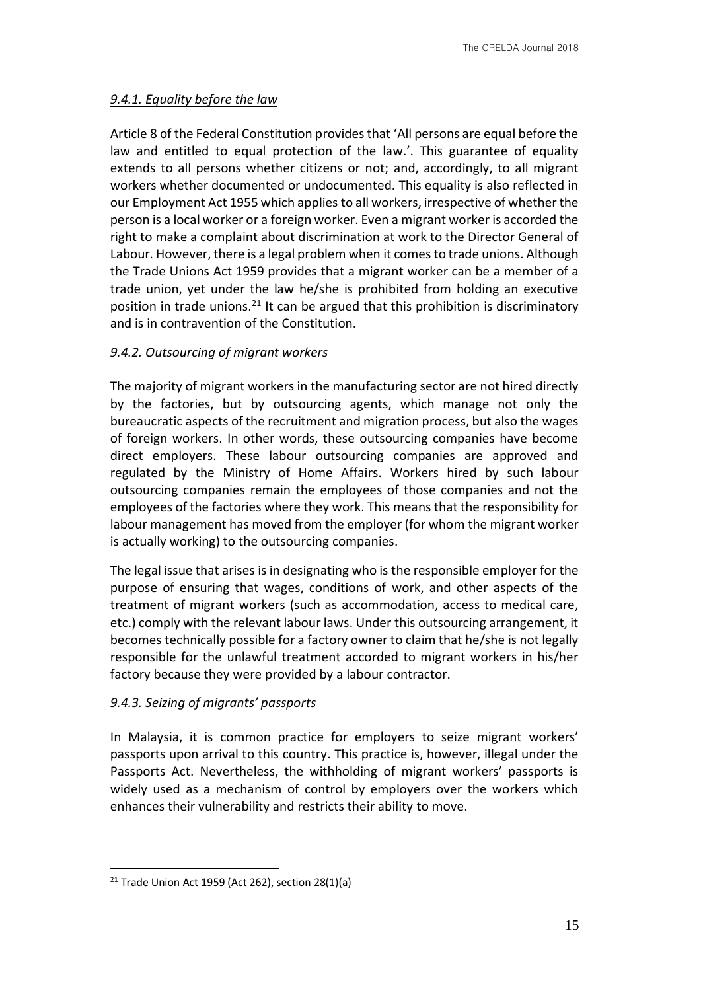# *9.4.1. Equality before the law*

Article 8 of the Federal Constitution provides that 'All persons are equal before the law and entitled to equal protection of the law.'. This guarantee of equality extends to all persons whether citizens or not; and, accordingly, to all migrant workers whether documented or undocumented. This equality is also reflected in our Employment Act 1955 which applies to all workers, irrespective of whether the person is a local worker or a foreign worker. Even a migrant worker is accorded the right to make a complaint about discrimination at work to the Director General of Labour. However, there is a legal problem when it comes to trade unions. Although the Trade Unions Act 1959 provides that a migrant worker can be a member of a trade union, yet under the law he/she is prohibited from holding an executive position in trade unions.<sup>21</sup> It can be argued that this prohibition is discriminatory and is in contravention of the Constitution.

# *9.4.2. Outsourcing of migrant workers*

The majority of migrant workers in the manufacturing sector are not hired directly by the factories, but by outsourcing agents, which manage not only the bureaucratic aspects of the recruitment and migration process, but also the wages of foreign workers. In other words, these outsourcing companies have become direct employers. These labour outsourcing companies are approved and regulated by the Ministry of Home Affairs. Workers hired by such labour outsourcing companies remain the employees of those companies and not the employees of the factories where they work. This means that the responsibility for labour management has moved from the employer (for whom the migrant worker is actually working) to the outsourcing companies.

The legal issue that arises is in designating who is the responsible employer for the purpose of ensuring that wages, conditions of work, and other aspects of the treatment of migrant workers (such as accommodation, access to medical care, etc.) comply with the relevant labour laws. Under this outsourcing arrangement, it becomes technically possible for a factory owner to claim that he/she is not legally responsible for the unlawful treatment accorded to migrant workers in his/her factory because they were provided by a labour contractor.

# *9.4.3. Seizing of migrants' passports*

In Malaysia, it is common practice for employers to seize migrant workers' passports upon arrival to this country. This practice is, however, illegal under the Passports Act. Nevertheless, the withholding of migrant workers' passports is widely used as a mechanism of control by employers over the workers which enhances their vulnerability and restricts their ability to move.

 $21$  Trade Union Act 1959 (Act 262), section 28(1)(a)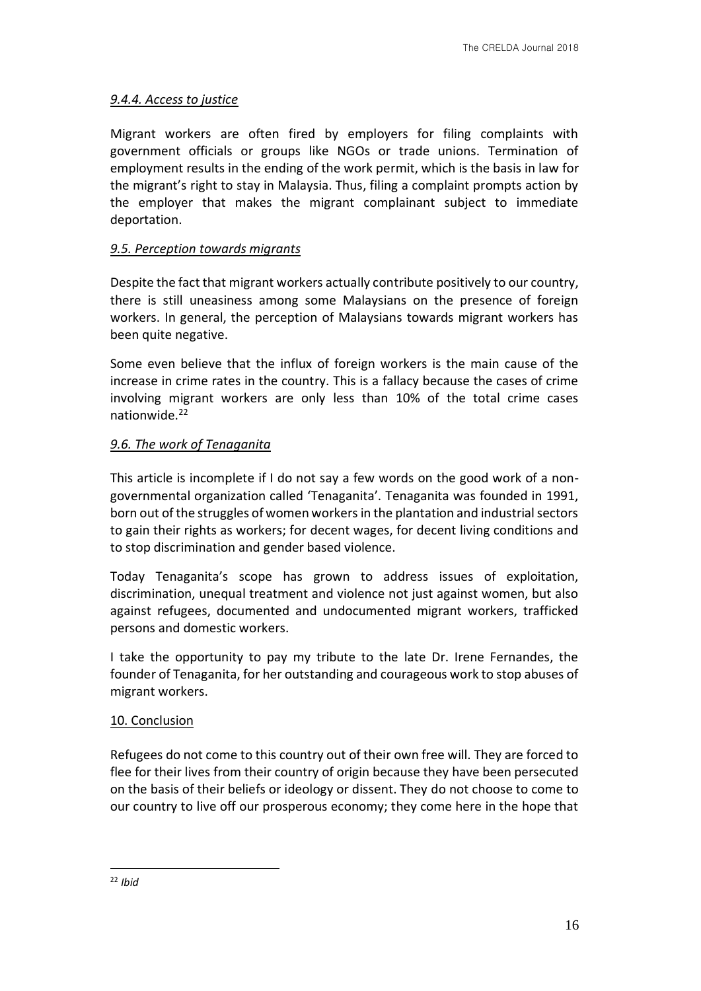# *9.4.4. Access to justice*

Migrant workers are often fired by employers for filing complaints with government officials or groups like NGOs or trade unions. Termination of employment results in the ending of the work permit, which is the basis in law for the migrant's right to stay in Malaysia. Thus, filing a complaint prompts action by the employer that makes the migrant complainant subject to immediate deportation.

# *9.5. Perception towards migrants*

Despite the fact that migrant workers actually contribute positively to our country, there is still uneasiness among some Malaysians on the presence of foreign workers. In general, the perception of Malaysians towards migrant workers has been quite negative.

Some even believe that the influx of foreign workers is the main cause of the increase in crime rates in the country. This is a fallacy because the cases of crime involving migrant workers are only less than 10% of the total crime cases nationwide.<sup>22</sup>

# *9.6. The work of Tenaganita*

This article is incomplete if I do not say a few words on the good work of a nongovernmental organization called 'Tenaganita'. Tenaganita was founded in 1991, born out of the struggles of women workers in the plantation and industrial sectors to gain their rights as workers; for decent wages, for decent living conditions and to stop discrimination and gender based violence.

Today Tenaganita's scope has grown to address issues of exploitation, discrimination, unequal treatment and violence not just against women, but also against refugees, documented and undocumented migrant workers, trafficked persons and domestic workers.

I take the opportunity to pay my tribute to the late Dr. Irene Fernandes, the founder of Tenaganita, for her outstanding and courageous work to stop abuses of migrant workers.

### 10. Conclusion

Refugees do not come to this country out of their own free will. They are forced to flee for their lives from their country of origin because they have been persecuted on the basis of their beliefs or ideology or dissent. They do not choose to come to our country to live off our prosperous economy; they come here in the hope that

<sup>22</sup> *Ibid*